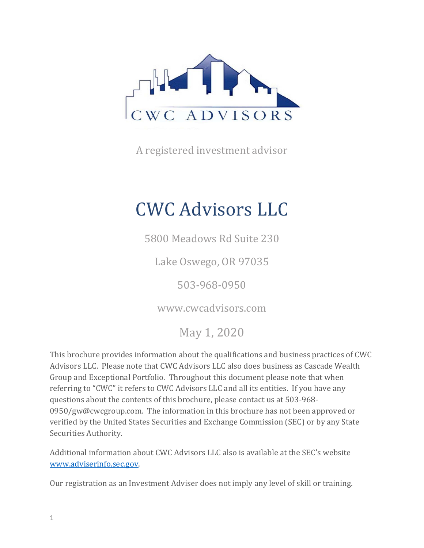

A registered investment advisor

# CWC Advisors LLC

5800 Meadows Rd Suite 230

Lake Oswego, OR 97035

503-968-0950

www.cwcadvisors.com

May 1, 2020

This brochure provides information about the qualifications and business practices of CWC Advisors LLC. Please note that CWC Advisors LLC also does business as Cascade Wealth Group and Exceptional Portfolio. Throughout this document please note that when referring to "CWC" it refers to CWC Advisors LLC and all its entities. If you have any questions about the contents of this brochure, please contact us at 503-968- 0950/gw@cwcgroup.com. The information in this brochure has not been approved or verified by the United States Securities and Exchange Commission (SEC) or by any State Securities Authority.

Additional information about CWC Advisors LLC also is available at the SEC's website www.adviserinfo.sec.gov.

Our registration as an Investment Adviser does not imply any level of skill or training.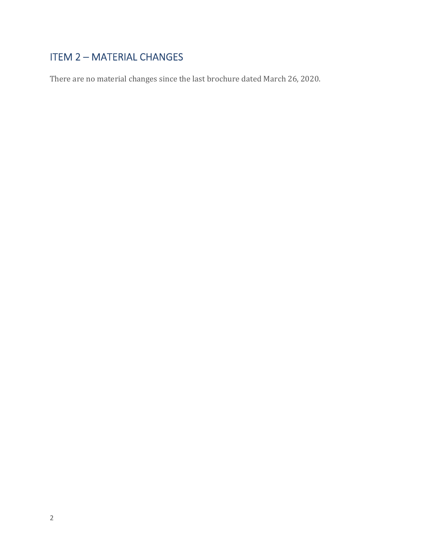## ITEM 2 – MATERIAL CHANGES

There are no material changes since the last brochure dated March 26, 2020.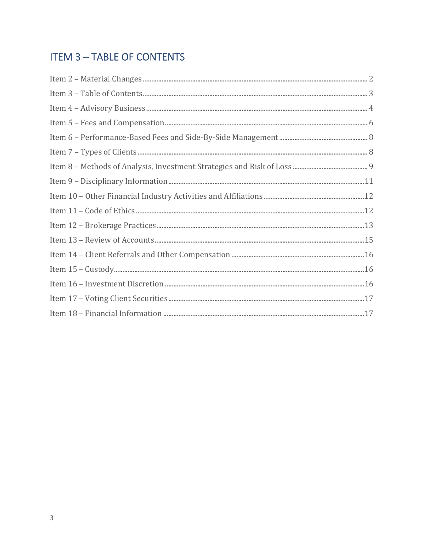## **ITEM 3-TABLE OF CONTENTS**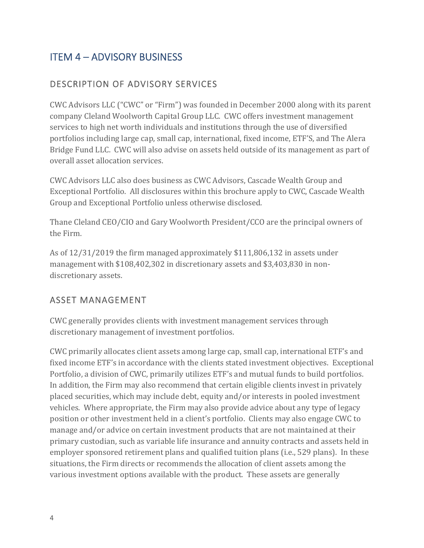## ITEM 4 – ADVISORY BUSINESS

#### DESCRIPTION OF ADVISORY SERVICES

CWC Advisors LLC ("CWC" or "Firm") was founded in December 2000 along with its parent company Cleland Woolworth Capital Group LLC. CWC offers investment management services to high net worth individuals and institutions through the use of diversified portfolios including large cap, small cap, international, fixed income, ETF'S, and The Alera Bridge Fund LLC. CWC will also advise on assets held outside of its management as part of overall asset allocation services.

CWC Advisors LLC also does business as CWC Advisors, Cascade Wealth Group and Exceptional Portfolio. All disclosures within this brochure apply to CWC, Cascade Wealth Group and Exceptional Portfolio unless otherwise disclosed.

Thane Cleland CEO/CIO and Gary Woolworth President/CCO are the principal owners of the Firm.

As of 12/31/2019 the firm managed approximately \$111,806,132 in assets under management with \$108,402,302 in discretionary assets and \$3,403,830 in nondiscretionary assets.

#### ASSET MANAGEMENT

CWC generally provides clients with investment management services through discretionary management of investment portfolios.

CWC primarily allocates client assets among large cap, small cap, international ETF's and fixed income ETF's in accordance with the clients stated investment objectives. Exceptional Portfolio, a division of CWC, primarily utilizes ETF's and mutual funds to build portfolios. In addition, the Firm may also recommend that certain eligible clients invest in privately placed securities, which may include debt, equity and/or interests in pooled investment vehicles. Where appropriate, the Firm may also provide advice about any type of legacy position or other investment held in a client's portfolio. Clients may also engage CWC to manage and/or advice on certain investment products that are not maintained at their primary custodian, such as variable life insurance and annuity contracts and assets held in employer sponsored retirement plans and qualified tuition plans (i.e., 529 plans). In these situations, the Firm directs or recommends the allocation of client assets among the various investment options available with the product. These assets are generally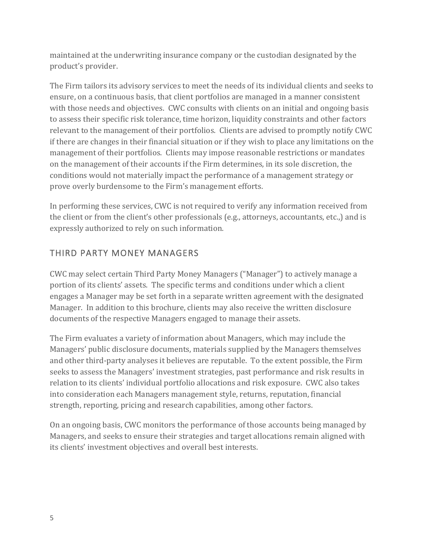maintained at the underwriting insurance company or the custodian designated by the product's provider.

The Firm tailors its advisory services to meet the needs of its individual clients and seeks to ensure, on a continuous basis, that client portfolios are managed in a manner consistent with those needs and objectives. CWC consults with clients on an initial and ongoing basis to assess their specific risk tolerance, time horizon, liquidity constraints and other factors relevant to the management of their portfolios. Clients are advised to promptly notify CWC if there are changes in their financial situation or if they wish to place any limitations on the management of their portfolios. Clients may impose reasonable restrictions or mandates on the management of their accounts if the Firm determines, in its sole discretion, the conditions would not materially impact the performance of a management strategy or prove overly burdensome to the Firm's management efforts.

In performing these services, CWC is not required to verify any information received from the client or from the client's other professionals (e.g., attorneys, accountants, etc.,) and is expressly authorized to rely on such information.

#### THIRD PARTY MONEY MANAGERS

CWC may select certain Third Party Money Managers ("Manager") to actively manage a portion of its clients' assets. The specific terms and conditions under which a client engages a Manager may be set forth in a separate written agreement with the designated Manager. In addition to this brochure, clients may also receive the written disclosure documents of the respective Managers engaged to manage their assets.

The Firm evaluates a variety of information about Managers, which may include the Managers' public disclosure documents, materials supplied by the Managers themselves and other third-party analyses it believes are reputable. To the extent possible, the Firm seeks to assess the Managers' investment strategies, past performance and risk results in relation to its clients' individual portfolio allocations and risk exposure. CWC also takes into consideration each Managers management style, returns, reputation, financial strength, reporting, pricing and research capabilities, among other factors.

On an ongoing basis, CWC monitors the performance of those accounts being managed by Managers, and seeks to ensure their strategies and target allocations remain aligned with its clients' investment objectives and overall best interests.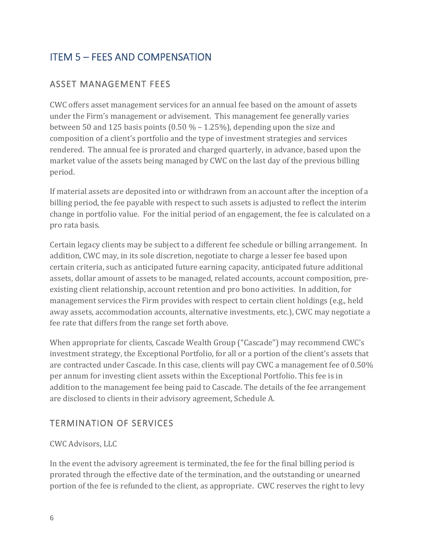## ITEM 5 – FEES AND COMPENSATION

#### ASSET MANAGEMENT FEES

CWC offers asset management services for an annual fee based on the amount of assets under the Firm's management or advisement. This management fee generally varies between 50 and 125 basis points (0.50 % – 1.25%), depending upon the size and composition of a client's portfolio and the type of investment strategies and services rendered. The annual fee is prorated and charged quarterly, in advance, based upon the market value of the assets being managed by CWC on the last day of the previous billing period.

If material assets are deposited into or withdrawn from an account after the inception of a billing period, the fee payable with respect to such assets is adjusted to reflect the interim change in portfolio value. For the initial period of an engagement, the fee is calculated on a pro rata basis.

Certain legacy clients may be subject to a different fee schedule or billing arrangement. In addition, CWC may, in its sole discretion, negotiate to charge a lesser fee based upon certain criteria, such as anticipated future earning capacity, anticipated future additional assets, dollar amount of assets to be managed, related accounts, account composition, preexisting client relationship, account retention and pro bono activities. In addition, for management services the Firm provides with respect to certain client holdings (e.g., held away assets, accommodation accounts, alternative investments, etc.), CWC may negotiate a fee rate that differs from the range set forth above.

When appropriate for clients, Cascade Wealth Group ("Cascade") may recommend CWC's investment strategy, the Exceptional Portfolio, for all or a portion of the client's assets that are contracted under Cascade. In this case, clients will pay CWC a management fee of 0.50% per annum for investing client assets within the Exceptional Portfolio. This fee is in addition to the management fee being paid to Cascade. The details of the fee arrangement are disclosed to clients in their advisory agreement, Schedule A.

#### TERMINATION OF SERVICES

#### CWC Advisors, LLC

In the event the advisory agreement is terminated, the fee for the final billing period is prorated through the effective date of the termination, and the outstanding or unearned portion of the fee is refunded to the client, as appropriate. CWC reserves the right to levy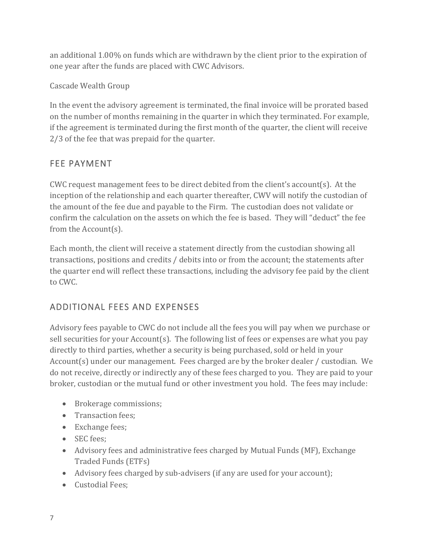an additional 1.00% on funds which are withdrawn by the client prior to the expiration of one year after the funds are placed with CWC Advisors.

Cascade Wealth Group

In the event the advisory agreement is terminated, the final invoice will be prorated based on the number of months remaining in the quarter in which they terminated. For example, if the agreement is terminated during the first month of the quarter, the client will receive 2/3 of the fee that was prepaid for the quarter.

#### FEE PAYMENT

CWC request management fees to be direct debited from the client's account(s). At the inception of the relationship and each quarter thereafter, CWV will notify the custodian of the amount of the fee due and payable to the Firm. The custodian does not validate or confirm the calculation on the assets on which the fee is based. They will "deduct" the fee from the Account(s).

Each month, the client will receive a statement directly from the custodian showing all transactions, positions and credits / debits into or from the account; the statements after the quarter end will reflect these transactions, including the advisory fee paid by the client to CWC.

### ADDITIONAL FEES AND EXPENSES

Advisory fees payable to CWC do not include all the fees you will pay when we purchase or sell securities for your Account(s). The following list of fees or expenses are what you pay directly to third parties, whether a security is being purchased, sold or held in your Account(s) under our management. Fees charged are by the broker dealer / custodian. We do not receive, directly or indirectly any of these fees charged to you. They are paid to your broker, custodian or the mutual fund or other investment you hold. The fees may include:

- Brokerage commissions;
- Transaction fees;
- Exchange fees;
- SEC fees:
- Advisory fees and administrative fees charged by Mutual Funds (MF), Exchange Traded Funds (ETFs)
- Advisory fees charged by sub-advisers (if any are used for your account);
- Custodial Fees;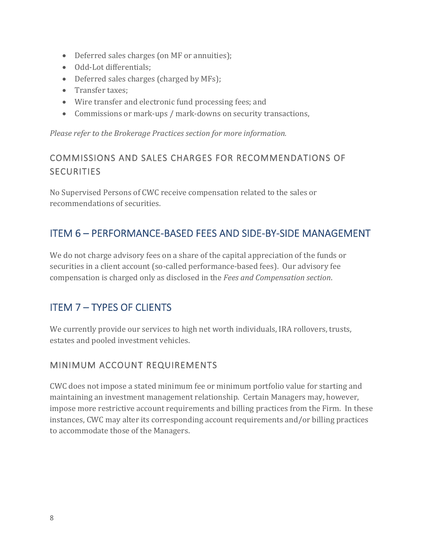- Deferred sales charges (on MF or annuities);
- Odd-Lot differentials;
- Deferred sales charges (charged by MFs);
- Transfer taxes;
- Wire transfer and electronic fund processing fees; and
- Commissions or mark-ups / mark-downs on security transactions,

*Please refer to the Brokerage Practices section for more information.*

#### COMMISSIONS AND SALES CHARGES FOR RECOMMENDATIONS OF SECURITIES

No Supervised Persons of CWC receive compensation related to the sales or recommendations of securities.

## ITEM 6 – PERFORMANCE‐BASED FEES AND SIDE‐BY‐SIDE MANAGEMENT

We do not charge advisory fees on a share of the capital appreciation of the funds or securities in a client account (so-called performance-based fees). Our advisory fee compensation is charged only as disclosed in the *Fees and Compensation section*.

## ITEM 7 – TYPES OF CLIENTS

We currently provide our services to high net worth individuals, IRA rollovers, trusts, estates and pooled investment vehicles.

#### MINIMUM ACCOUNT REQUIREMENTS

CWC does not impose a stated minimum fee or minimum portfolio value for starting and maintaining an investment management relationship. Certain Managers may, however, impose more restrictive account requirements and billing practices from the Firm. In these instances, CWC may alter its corresponding account requirements and/or billing practices to accommodate those of the Managers.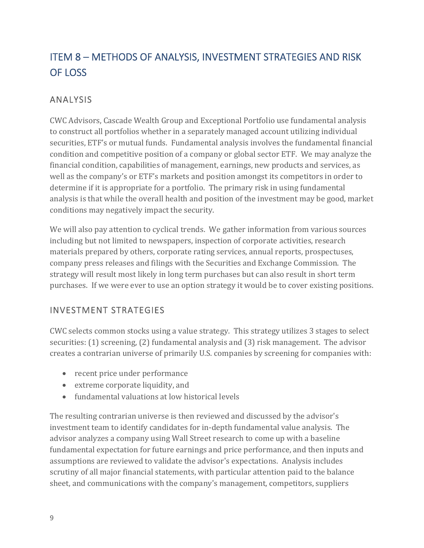## ITEM 8 – METHODS OF ANALYSIS, INVESTMENT STRATEGIES AND RISK OF LOSS

#### ANALYSIS

CWC Advisors, Cascade Wealth Group and Exceptional Portfolio use fundamental analysis to construct all portfolios whether in a separately managed account utilizing individual securities, ETF's or mutual funds. Fundamental analysis involves the fundamental financial condition and competitive position of a company or global sector ETF. We may analyze the financial condition, capabilities of management, earnings, new products and services, as well as the company's or ETF's markets and position amongst its competitors in order to determine if it is appropriate for a portfolio. The primary risk in using fundamental analysis is that while the overall health and position of the investment may be good, market conditions may negatively impact the security.

We will also pay attention to cyclical trends. We gather information from various sources including but not limited to newspapers, inspection of corporate activities, research materials prepared by others, corporate rating services, annual reports, prospectuses, company press releases and filings with the Securities and Exchange Commission. The strategy will result most likely in long term purchases but can also result in short term purchases. If we were ever to use an option strategy it would be to cover existing positions.

#### INVESTMENT STRATEGIES

CWC selects common stocks using a value strategy. This strategy utilizes 3 stages to select securities: (1) screening, (2) fundamental analysis and (3) risk management. The advisor creates a contrarian universe of primarily U.S. companies by screening for companies with:

- recent price under performance
- extreme corporate liquidity, and
- fundamental valuations at low historical levels

The resulting contrarian universe is then reviewed and discussed by the advisor's investment team to identify candidates for in-depth fundamental value analysis. The advisor analyzes a company using Wall Street research to come up with a baseline fundamental expectation for future earnings and price performance, and then inputs and assumptions are reviewed to validate the advisor's expectations. Analysis includes scrutiny of all major financial statements, with particular attention paid to the balance sheet, and communications with the company's management, competitors, suppliers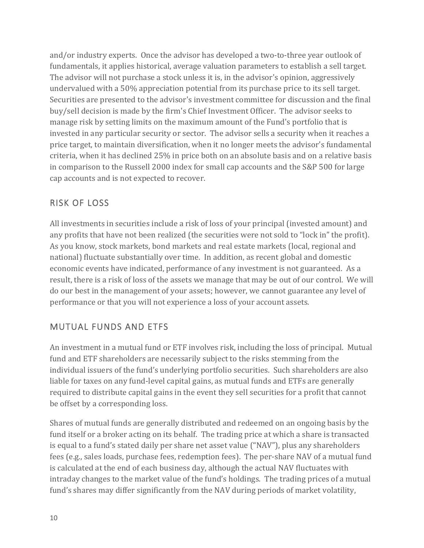and/or industry experts. Once the advisor has developed a two-to-three year outlook of fundamentals, it applies historical, average valuation parameters to establish a sell target. The advisor will not purchase a stock unless it is, in the advisor's opinion, aggressively undervalued with a 50% appreciation potential from its purchase price to its sell target. Securities are presented to the advisor's investment committee for discussion and the final buy/sell decision is made by the firm's Chief Investment Officer. The advisor seeks to manage risk by setting limits on the maximum amount of the Fund's portfolio that is invested in any particular security or sector. The advisor sells a security when it reaches a price target, to maintain diversification, when it no longer meets the advisor's fundamental criteria, when it has declined 25% in price both on an absolute basis and on a relative basis in comparison to the Russell 2000 index for small cap accounts and the S&P 500 for large cap accounts and is not expected to recover.

#### RISK OF LOSS

All investments in securities include a risk of loss of your principal (invested amount) and any profits that have not been realized (the securities were not sold to "lock in" the profit). As you know, stock markets, bond markets and real estate markets (local, regional and national) fluctuate substantially over time. In addition, as recent global and domestic economic events have indicated, performance of any investment is not guaranteed. As a result, there is a risk of loss of the assets we manage that may be out of our control. We will do our best in the management of your assets; however, we cannot guarantee any level of performance or that you will not experience a loss of your account assets.

### MUTUAL FUNDS AND ETFS

An investment in a mutual fund or ETF involves risk, including the loss of principal. Mutual fund and ETF shareholders are necessarily subject to the risks stemming from the individual issuers of the fund's underlying portfolio securities. Such shareholders are also liable for taxes on any fund-level capital gains, as mutual funds and ETFs are generally required to distribute capital gains in the event they sell securities for a profit that cannot be offset by a corresponding loss.

Shares of mutual funds are generally distributed and redeemed on an ongoing basis by the fund itself or a broker acting on its behalf. The trading price at which a share is transacted is equal to a fund's stated daily per share net asset value ("NAV"), plus any shareholders fees (e.g., sales loads, purchase fees, redemption fees). The per-share NAV of a mutual fund is calculated at the end of each business day, although the actual NAV fluctuates with intraday changes to the market value of the fund's holdings. The trading prices of a mutual fund's shares may differ significantly from the NAV during periods of market volatility,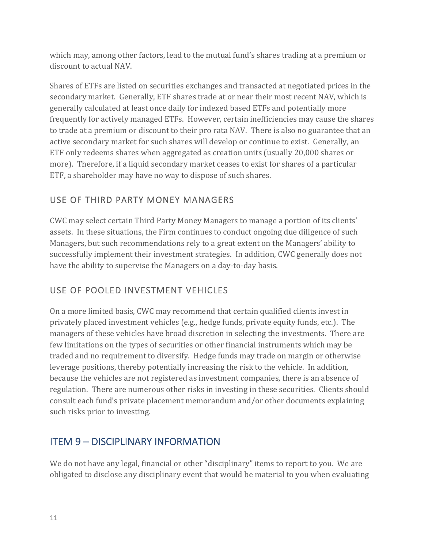which may, among other factors, lead to the mutual fund's shares trading at a premium or discount to actual NAV.

Shares of ETFs are listed on securities exchanges and transacted at negotiated prices in the secondary market. Generally, ETF shares trade at or near their most recent NAV, which is generally calculated at least once daily for indexed based ETFs and potentially more frequently for actively managed ETFs. However, certain inefficiencies may cause the shares to trade at a premium or discount to their pro rata NAV. There is also no guarantee that an active secondary market for such shares will develop or continue to exist. Generally, an ETF only redeems shares when aggregated as creation units (usually 20,000 shares or more). Therefore, if a liquid secondary market ceases to exist for shares of a particular ETF, a shareholder may have no way to dispose of such shares.

#### USE OF THIRD PARTY MONEY MANAGERS

CWC may select certain Third Party Money Managers to manage a portion of its clients' assets. In these situations, the Firm continues to conduct ongoing due diligence of such Managers, but such recommendations rely to a great extent on the Managers' ability to successfully implement their investment strategies. In addition, CWC generally does not have the ability to supervise the Managers on a day-to-day basis.

### USE OF POOLED INVESTMENT VEHICLES

On a more limited basis, CWC may recommend that certain qualified clients invest in privately placed investment vehicles (e.g., hedge funds, private equity funds, etc.). The managers of these vehicles have broad discretion in selecting the investments. There are few limitations on the types of securities or other financial instruments which may be traded and no requirement to diversify. Hedge funds may trade on margin or otherwise leverage positions, thereby potentially increasing the risk to the vehicle. In addition, because the vehicles are not registered as investment companies, there is an absence of regulation. There are numerous other risks in investing in these securities. Clients should consult each fund's private placement memorandum and/or other documents explaining such risks prior to investing.

## ITEM 9 – DISCIPLINARY INFORMATION

We do not have any legal, financial or other "disciplinary" items to report to you. We are obligated to disclose any disciplinary event that would be material to you when evaluating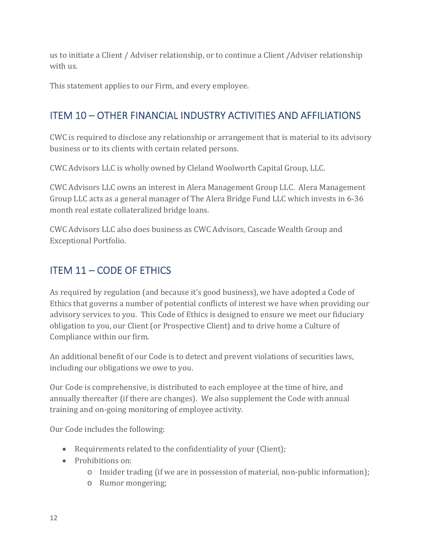us to initiate a Client / Adviser relationship, or to continue a Client /Adviser relationship with us.

This statement applies to our Firm, and every employee.

## ITEM 10 – OTHER FINANCIAL INDUSTRY ACTIVITIES AND AFFILIATIONS

CWC is required to disclose any relationship or arrangement that is material to its advisory business or to its clients with certain related persons.

CWC Advisors LLC is wholly owned by Cleland Woolworth Capital Group, LLC.

CWC Advisors LLC owns an interest in Alera Management Group LLC. Alera Management Group LLC acts as a general manager of The Alera Bridge Fund LLC which invests in 6-36 month real estate collateralized bridge loans.

CWC Advisors LLC also does business as CWC Advisors, Cascade Wealth Group and Exceptional Portfolio.

## ITEM 11 – CODE OF ETHICS

As required by regulation (and because it's good business), we have adopted a Code of Ethics that governs a number of potential conflicts of interest we have when providing our advisory services to you. This Code of Ethics is designed to ensure we meet our fiduciary obligation to you, our Client (or Prospective Client) and to drive home a Culture of Compliance within our firm.

An additional benefit of our Code is to detect and prevent violations of securities laws, including our obligations we owe to you.

Our Code is comprehensive, is distributed to each employee at the time of hire, and annually thereafter (if there are changes). We also supplement the Code with annual training and on-going monitoring of employee activity.

Our Code includes the following:

- Requirements related to the confidentiality of your (Client);
- Prohibitions on:
	- o Insider trading (if we are in possession of material, non-public information);
	- o Rumor mongering;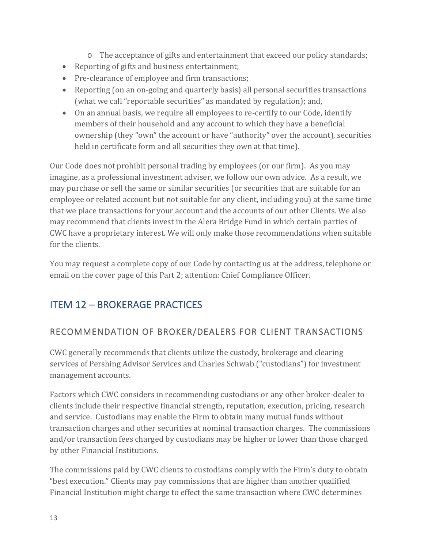- o The acceptance of gifts and entertainment that exceed our policy standards;
- Reporting of gifts and business entertainment;
- Pre-clearance of employee and firm transactions;
- Reporting (on an on-going and quarterly basis) all personal securities transactions (what we call "reportable securities" as mandated by regulation); and,
- On an annual basis, we require all employees to re-certify to our Code, identify members of their household and any account to which they have a beneficial ownership (they "own" the account or have "authority" over the account), securities held in certificate form and all securities they own at that time).

Our Code does not prohibit personal trading by employees (or our firm). As you may imagine, as a professional investment adviser, we follow our own advice. As a result, we may purchase or sell the same or similar securities (or securities that are suitable for an employee or related account but not suitable for any client, including you) at the same time that we place transactions for your account and the accounts of our other Clients. We also may recommend that clients invest in the Alera Bridge Fund in which certain parties of CWC have a proprietary interest. We will only make those recommendations when suitable for the clients.

You may request a complete copy of our Code by contacting us at the address, telephone or email on the cover page of this Part 2; attention: Chief Compliance Officer.

## ITEM 12 – BROKERAGE PRACTICES

### RECOMMENDATION OF BROKER/DEALERS FOR CLIENT TRANSACTIONS

CWC generally recommends that clients utilize the custody, brokerage and clearing services of Pershing Advisor Services and Charles Schwab ("custodians") for investment management accounts.

Factors which CWC considers in recommending custodians or any other broker-dealer to clients include their respective financial strength, reputation, execution, pricing, research and service. Custodians may enable the Firm to obtain many mutual funds without transaction charges and other securities at nominal transaction charges. The commissions and/or transaction fees charged by custodians may be higher or lower than those charged by other Financial Institutions.

The commissions paid by CWC clients to custodians comply with the Firm's duty to obtain "best execution." Clients may pay commissions that are higher than another qualified Financial Institution might charge to effect the same transaction where CWC determines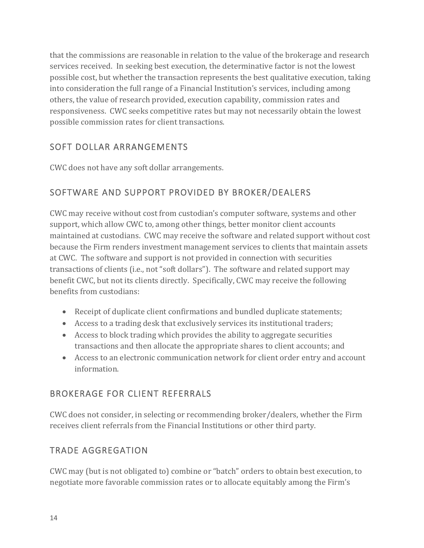that the commissions are reasonable in relation to the value of the brokerage and research services received. In seeking best execution, the determinative factor is not the lowest possible cost, but whether the transaction represents the best qualitative execution, taking into consideration the full range of a Financial Institution's services, including among others, the value of research provided, execution capability, commission rates and responsiveness. CWC seeks competitive rates but may not necessarily obtain the lowest possible commission rates for client transactions.

#### SOFT DOLLAR ARRANGEMENTS

CWC does not have any soft dollar arrangements.

#### SOFTWARE AND SUPPORT PROVIDED BY BROKER/DEALERS

CWC may receive without cost from custodian's computer software, systems and other support, which allow CWC to, among other things, better monitor client accounts maintained at custodians. CWC may receive the software and related support without cost because the Firm renders investment management services to clients that maintain assets at CWC. The software and support is not provided in connection with securities transactions of clients (i.e., not "soft dollars"). The software and related support may benefit CWC, but not its clients directly. Specifically, CWC may receive the following benefits from custodians:

- Receipt of duplicate client confirmations and bundled duplicate statements;
- Access to a trading desk that exclusively services its institutional traders;
- Access to block trading which provides the ability to aggregate securities transactions and then allocate the appropriate shares to client accounts; and
- Access to an electronic communication network for client order entry and account information.

#### BROKERAGE FOR CLIENT REFERRALS

CWC does not consider, in selecting or recommending broker/dealers, whether the Firm receives client referrals from the Financial Institutions or other third party.

#### TRADE AGGREGATION

CWC may (but is not obligated to) combine or "batch" orders to obtain best execution, to negotiate more favorable commission rates or to allocate equitably among the Firm's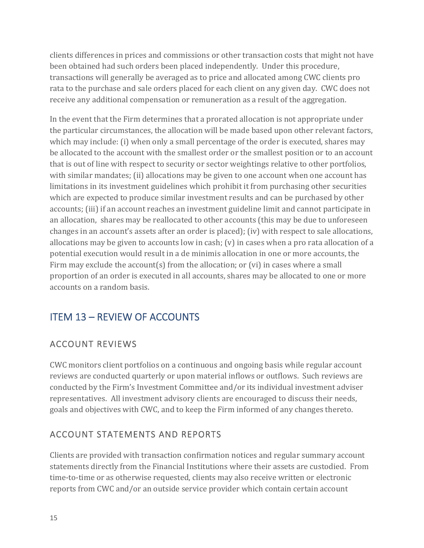clients differences in prices and commissions or other transaction costs that might not have been obtained had such orders been placed independently. Under this procedure, transactions will generally be averaged as to price and allocated among CWC clients pro rata to the purchase and sale orders placed for each client on any given day. CWC does not receive any additional compensation or remuneration as a result of the aggregation.

In the event that the Firm determines that a prorated allocation is not appropriate under the particular circumstances, the allocation will be made based upon other relevant factors, which may include: (i) when only a small percentage of the order is executed, shares may be allocated to the account with the smallest order or the smallest position or to an account that is out of line with respect to security or sector weightings relative to other portfolios, with similar mandates; (ii) allocations may be given to one account when one account has limitations in its investment guidelines which prohibit it from purchasing other securities which are expected to produce similar investment results and can be purchased by other accounts; (iii) if an account reaches an investment guideline limit and cannot participate in an allocation, shares may be reallocated to other accounts (this may be due to unforeseen changes in an account's assets after an order is placed); (iv) with respect to sale allocations, allocations may be given to accounts low in cash; (v) in cases when a pro rata allocation of a potential execution would result in a de minimis allocation in one or more accounts, the Firm may exclude the account(s) from the allocation; or (vi) in cases where a small proportion of an order is executed in all accounts, shares may be allocated to one or more accounts on a random basis.

## ITEM 13 – REVIEW OF ACCOUNTS

### ACCOUNT REVIEWS

CWC monitors client portfolios on a continuous and ongoing basis while regular account reviews are conducted quarterly or upon material inflows or outflows. Such reviews are conducted by the Firm's Investment Committee and/or its individual investment adviser representatives. All investment advisory clients are encouraged to discuss their needs, goals and objectives with CWC, and to keep the Firm informed of any changes thereto.

#### ACCOUNT STATEMENTS AND REPORTS

Clients are provided with transaction confirmation notices and regular summary account statements directly from the Financial Institutions where their assets are custodied. From time-to-time or as otherwise requested, clients may also receive written or electronic reports from CWC and/or an outside service provider which contain certain account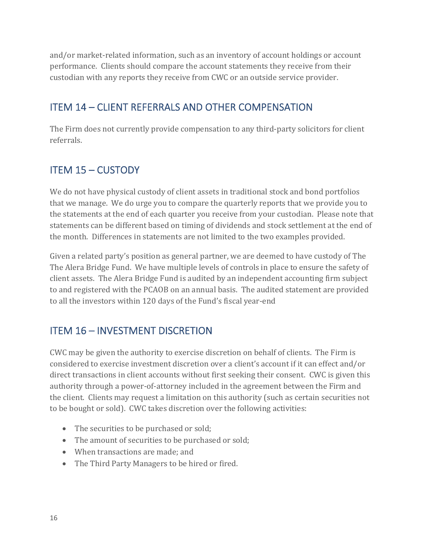and/or market-related information, such as an inventory of account holdings or account performance. Clients should compare the account statements they receive from their custodian with any reports they receive from CWC or an outside service provider.

## ITEM 14 – CLIENT REFERRALS AND OTHER COMPENSATION

The Firm does not currently provide compensation to any third-party solicitors for client referrals.

## ITEM 15 – CUSTODY

We do not have physical custody of client assets in traditional stock and bond portfolios that we manage. We do urge you to compare the quarterly reports that we provide you to the statements at the end of each quarter you receive from your custodian. Please note that statements can be different based on timing of dividends and stock settlement at the end of the month. Differences in statements are not limited to the two examples provided.

Given a related party's position as general partner, we are deemed to have custody of The The Alera Bridge Fund. We have multiple levels of controls in place to ensure the safety of client assets. The Alera Bridge Fund is audited by an independent accounting firm subject to and registered with the PCAOB on an annual basis. The audited statement are provided to all the investors within 120 days of the Fund's fiscal year-end

## ITEM 16 – INVESTMENT DISCRETION

CWC may be given the authority to exercise discretion on behalf of clients. The Firm is considered to exercise investment discretion over a client's account if it can effect and/or direct transactions in client accounts without first seeking their consent. CWC is given this authority through a power-of-attorney included in the agreement between the Firm and the client. Clients may request a limitation on this authority (such as certain securities not to be bought or sold). CWC takes discretion over the following activities:

- The securities to be purchased or sold;
- The amount of securities to be purchased or sold;
- When transactions are made; and
- The Third Party Managers to be hired or fired.